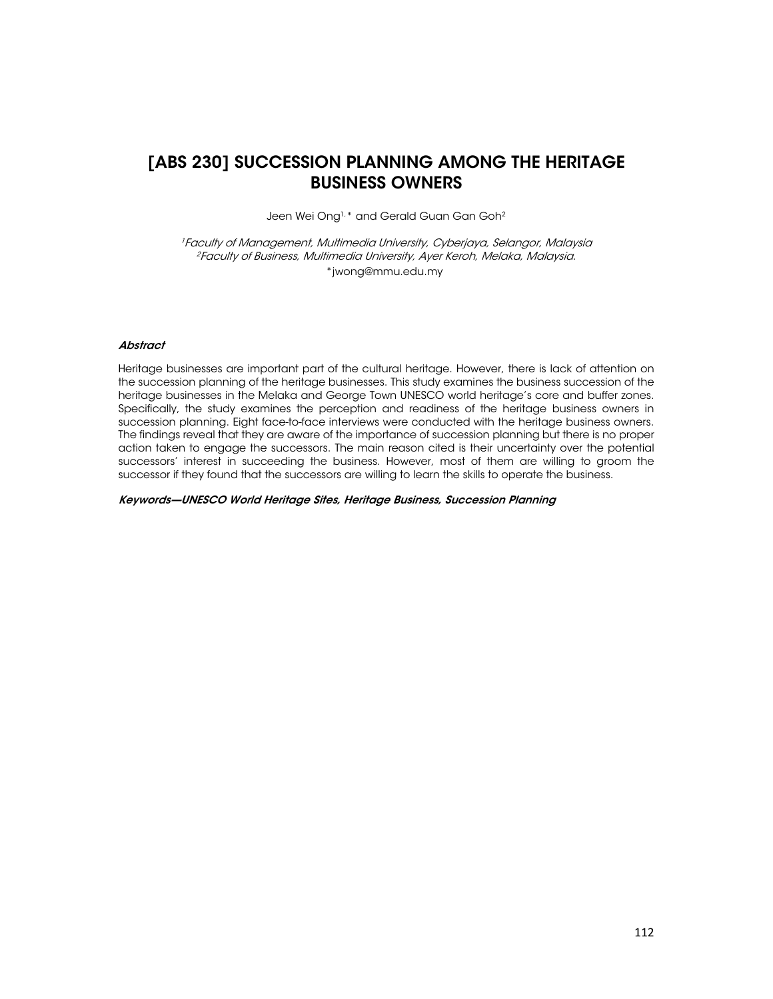## [ABS 230] SUCCESSION PLANNING AMONG THE HERITAGE BUSINESS OWNERS

Jeen Wei Ong<sup>1,\*</sup> and Gerald Guan Gan Goh<sup>2</sup>

<sup>1</sup> Faculty of Management, Multimedia University, Cyberjaya, Selangor, Malaysia <sup>2</sup> Faculty of Business, Multimedia University, Ayer Keroh, Melaka, Malaysia. \*jwong@mmu.edu.my

### **Abstract**

Heritage businesses are important part of the cultural heritage. However, there is lack of attention on the succession planning of the heritage businesses. This study examines the business succession of the heritage businesses in the Melaka and George Town UNESCO world heritage's core and buffer zones. Specifically, the study examines the perception and readiness of the heritage business owners in succession planning. Eight face-to-face interviews were conducted with the heritage business owners. The findings reveal that they are aware of the importance of succession planning but there is no proper action taken to engage the successors. The main reason cited is their uncertainty over the potential successors' interest in succeeding the business. However, most of them are willing to groom the successor if they found that the successors are willing to learn the skills to operate the business.

Keywords—UNESCO World Heritage Sites, Heritage Business, Succession Planning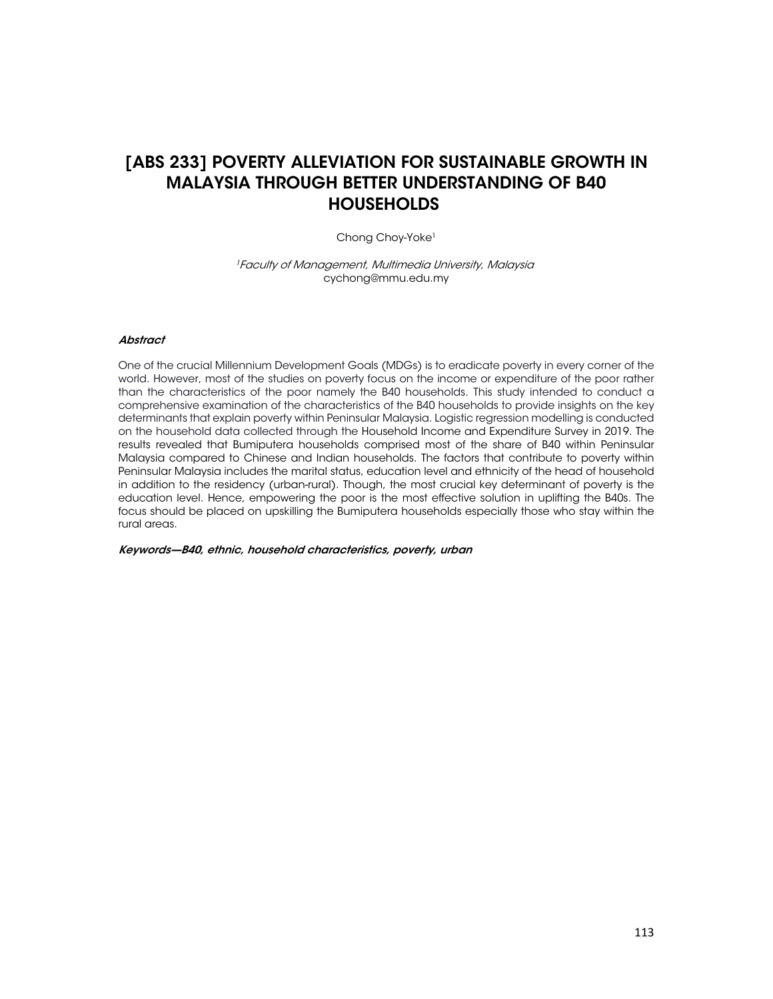

# [ABS 233] POVERTY ALLEVIATION FOR SUSTAINABLE GROWTH IN MALAYSIA THROUGH BETTER UNDERSTANDING OF B40 **HOUSEHOLDS**

Chong Choy-Yoke<sup>1</sup>

<sup>1</sup> Faculty of Management, Multimedia University, Malaysia cychong@mmu.edu.my

### **Abstract**

One of the crucial Millennium Development Goals (MDGs) is to eradicate poverty in every corner of the world. However, most of the studies on poverty focus on the income or expenditure of the poor rather than the characteristics of the poor namely the B40 households. This study intended to conduct a comprehensive examination of the characteristics of the B40 households to provide insights on the key determinants that explain poverty within Peninsular Malaysia. Logistic regression modelling is conducted on the household data collected through the Household Income and Expenditure Survey in 2019. The results revealed that Bumiputera households comprised most of the share of B40 within Peninsular Malaysia compared to Chinese and Indian households. The factors that contribute to poverty within Peninsular Malaysia includes the marital status, education level and ethnicity of the head of household in addition to the residency (urban-rural). Though, the most crucial key determinant of poverty is the education level. Hence, empowering the poor is the most effective solution in uplifting the B40s. The focus should be placed on upskilling the Bumiputera households especially those who stay within the rural areas.

Keywords—B40, ethnic, household characteristics, poverty, urban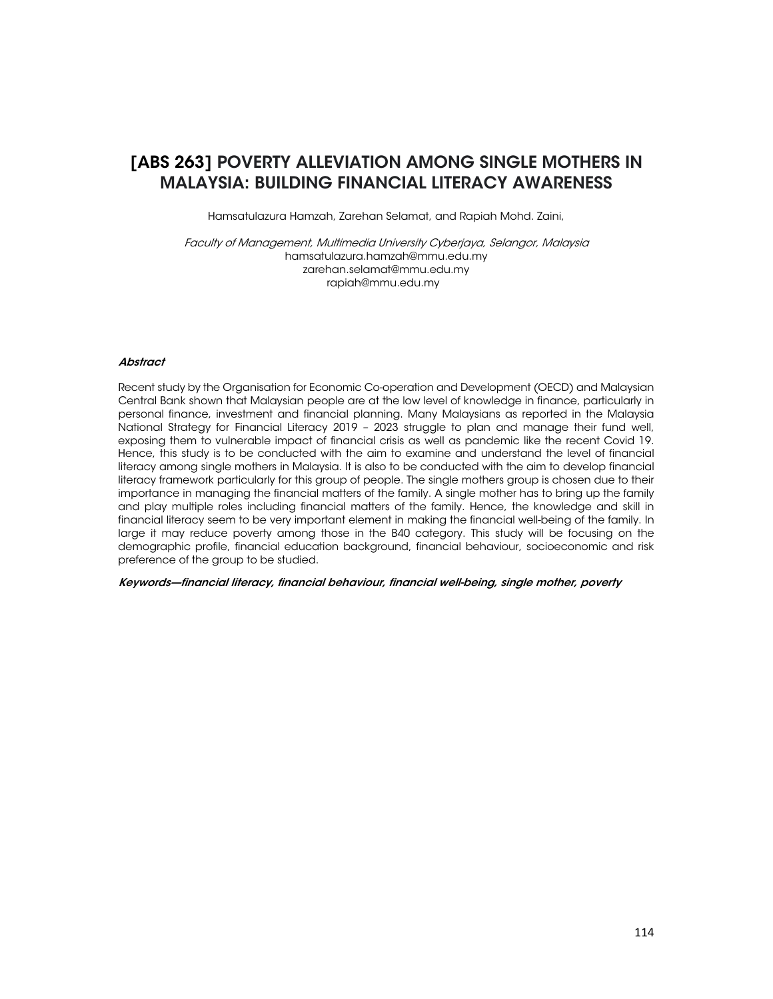

Hamsatulazura Hamzah, Zarehan Selamat, and Rapiah Mohd. Zaini,

Faculty of Management, Multimedia University Cyberjaya, Selangor, Malaysia hamsatulazura.hamzah@mmu.edu.my zarehan.selamat@mmu.edu.my rapiah@mmu.edu.my

#### **Abstract**

MNITF

2021

Recent study by the Organisation for Economic Co-operation and Development (OECD) and Malaysian Central Bank shown that Malaysian people are at the low level of knowledge in finance, particularly in personal finance, investment and financial planning. Many Malaysians as reported in the Malaysia National Strategy for Financial Literacy 2019 – 2023 struggle to plan and manage their fund well, exposing them to vulnerable impact of financial crisis as well as pandemic like the recent Covid 19. Hence, this study is to be conducted with the aim to examine and understand the level of financial literacy among single mothers in Malaysia. It is also to be conducted with the aim to develop financial literacy framework particularly for this group of people. The single mothers group is chosen due to their importance in managing the financial matters of the family. A single mother has to bring up the family and play multiple roles including financial matters of the family. Hence, the knowledge and skill in financial literacy seem to be very important element in making the financial well-being of the family. In large it may reduce poverty among those in the B40 category. This study will be focusing on the demographic profile, financial education background, financial behaviour, socioeconomic and risk preference of the group to be studied.

Keywords—financial literacy, financial behaviour, financial well-being, single mother, poverty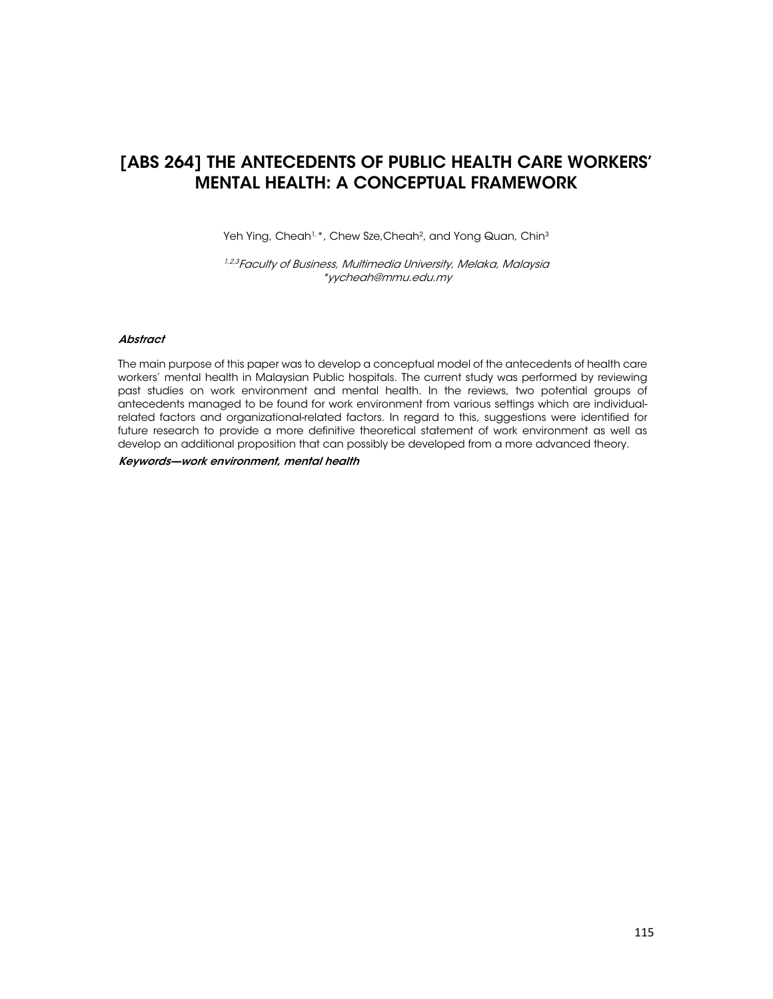

# [ABS 264] THE ANTECEDENTS OF PUBLIC HEALTH CARE WORKERS' MENTAL HEALTH: A CONCEPTUAL FRAMEWORK

Yeh Ying, Cheah<sup>1,\*</sup>, Chew Sze, Cheah<sup>2</sup>, and Yong Quan, Chin<sup>3</sup>

1,23 Faculty of Business, Multimedia University, Melaka, Malaysia \*yycheah@mmu.edu.my

### **Abstract**

The main purpose of this paper was to develop a conceptual model of the antecedents of health care workers' mental health in Malaysian Public hospitals. The current study was performed by reviewing past studies on work environment and mental health. In the reviews, two potential groups of antecedents managed to be found for work environment from various settings which are individualrelated factors and organizational-related factors. In regard to this, suggestions were identified for future research to provide a more definitive theoretical statement of work environment as well as develop an additional proposition that can possibly be developed from a more advanced theory.

Keywords—work environment, mental health

ъ.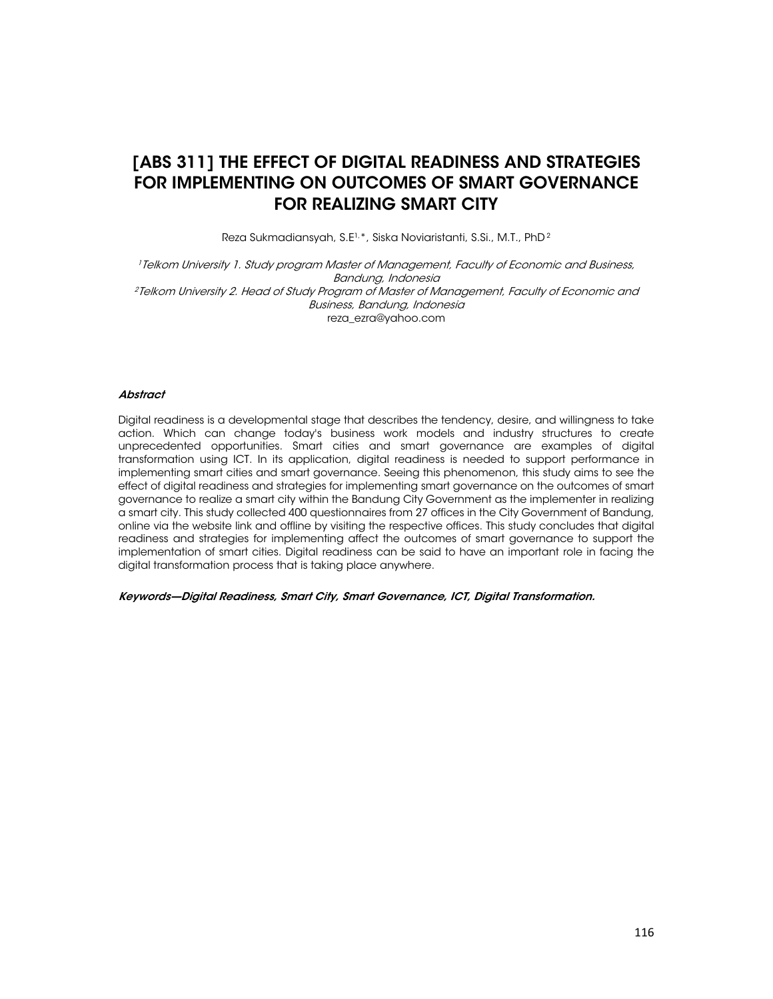

## [ABS 311] THE EFFECT OF DIGITAL READINESS AND STRATEGIES FOR IMPLEMENTING ON OUTCOMES OF SMART GOVERNANCE FOR REALIZING SMART CITY

Reza Sukmadiansyah, S.E1,\*, Siska Noviaristanti, S.Si., M.T., PhD 2

<sup>1</sup> Telkom University 1. Study program Master of Management, Faculty of Economic and Business, Bandung, Indonesia <sup>2</sup> Telkom University 2. Head of Study Program of Master of Management, Faculty of Economic and Business, Bandung, Indonesia reza\_ezra@yahoo.com

#### **Abstract**

Digital readiness is a developmental stage that describes the tendency, desire, and willingness to take action. Which can change today's business work models and industry structures to create unprecedented opportunities. Smart cities and smart governance are examples of digital transformation using ICT. In its application, digital readiness is needed to support performance in implementing smart cities and smart governance. Seeing this phenomenon, this study aims to see the effect of digital readiness and strategies for implementing smart governance on the outcomes of smart governance to realize a smart city within the Bandung City Government as the implementer in realizing a smart city. This study collected 400 questionnaires from 27 offices in the City Government of Bandung, online via the website link and offline by visiting the respective offices. This study concludes that digital readiness and strategies for implementing affect the outcomes of smart governance to support the implementation of smart cities. Digital readiness can be said to have an important role in facing the digital transformation process that is taking place anywhere.

Keywords—Digital Readiness, Smart City, Smart Governance, ICT, Digital Transformation.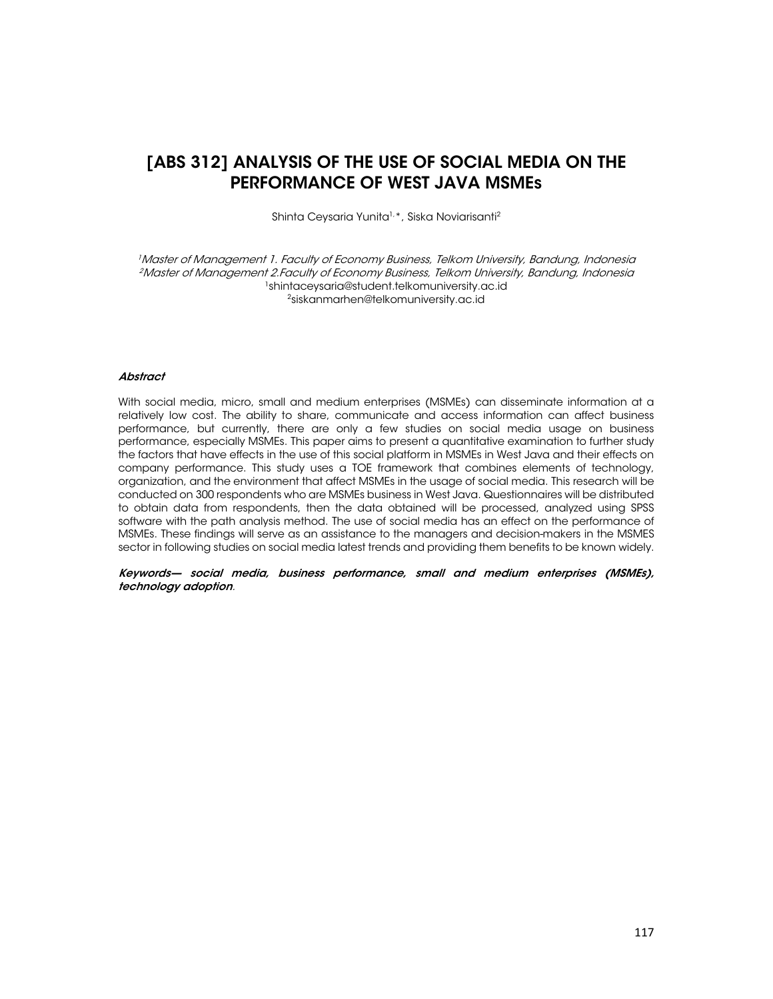

Shinta Ceysaria Yunita1,\*, Siska Noviarisanti2

<sup>1</sup>Master of Management 1. Faculty of Economy Business, Telkom University, Bandung, Indonesia <sup>2</sup>Master of Management 2.Faculty of Economy Business, Telkom University, Bandung, Indonesia<br><sup>1</sup>shintaceysaria@student.telkomuniversity.ac.id <sup>2</sup>siskanmarhen@telkomuniversity.ac.id

#### **Abstract**

**MDITE** 

2021

With social media, micro, small and medium enterprises (MSMEs) can disseminate information at a relatively low cost. The ability to share, communicate and access information can affect business performance, but currently, there are only a few studies on social media usage on business performance, especially MSMEs. This paper aims to present a quantitative examination to further study the factors that have effects in the use of this social platform in MSMEs in West Java and their effects on company performance. This study uses a TOE framework that combines elements of technology, organization, and the environment that affect MSMEs in the usage of social media. This research will be conducted on 300 respondents who are MSMEs business in West Java. Questionnaires will be distributed to obtain data from respondents, then the data obtained will be processed, analyzed using SPSS software with the path analysis method. The use of social media has an effect on the performance of MSMEs. These findings will serve as an assistance to the managers and decision-makers in the MSMES sector in following studies on social media latest trends and providing them benefits to be known widely.

Keywords— social media, business performance, small and medium enterprises (MSMEs), technology adoption.